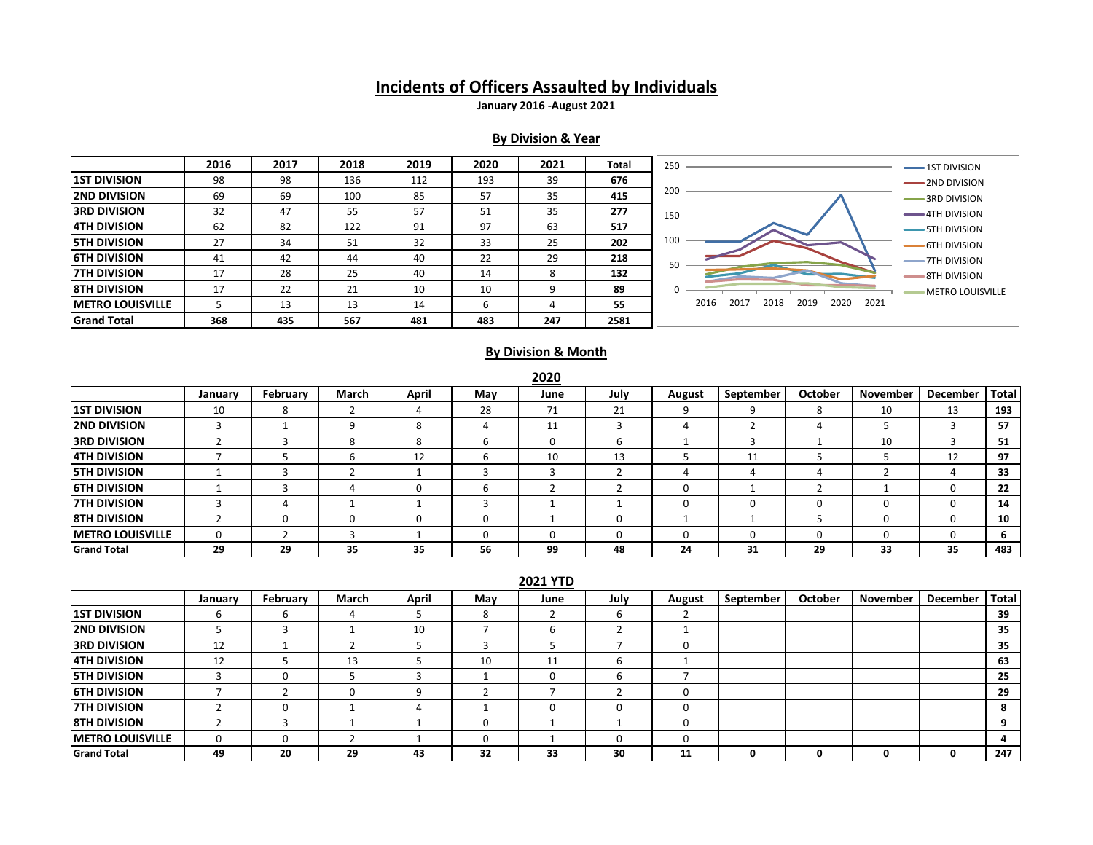## **Incidents of Officers Assaulted by Individuals**

**January 2016 -August 2021**

### **By Division & Year**

|                          | 2016 | 2017 | 2018 | 2019 | 2020 | 2021 | Total | 250<br>$\longrightarrow$ 1ST DIVISION        |
|--------------------------|------|------|------|------|------|------|-------|----------------------------------------------|
| <b>1ST DIVISION</b>      | 98   | 98   | 136  | 112  | 193  | 39   | 676   | $\longrightarrow$ 2ND DIVISION               |
| <b>2ND DIVISION</b>      | 69   | 69   | 100  | 85   | 57   | 35   | 415   | 200<br>-3RD DIVISION                         |
| <b>3RD DIVISION</b>      | 32   | 47   | 55   | 57   | 51   | 35   | 277   | -4TH DIVISION<br>150                         |
| <b>ATH DIVISION</b>      | 62   | 82   | 122  | 91   | 97   | 63   | 517   | $\longrightarrow$ 5TH DIVISION               |
| <b>STH DIVISION</b>      | 27   | 34   | 51   | 32   | 33   | 25   | 202   | 100<br><b>6TH DIVISION</b>                   |
| <b>IGTH DIVISION</b>     | 41   | 42   | 44   | 40   | 22   | 29   | 218   | -7TH DIVISION<br>50                          |
| <b>ITH DIVISION</b>      |      | 28   | 25   | 40   | 14   | 8    | 132   | <b>8TH DIVISION</b>                          |
| <b>STH DIVISION</b>      | 17   | 22   | 21   | 10   | 10   | q    | 89    | <b>METRO LOUISVILLE</b>                      |
| <b>IMETRO LOUISVILLE</b> |      | 13   | 13   | 14   |      |      | 55    | 2018<br>2021<br>2016<br>2017<br>2019<br>2020 |
| <b>Grand Total</b>       | 368  | 435  | 567  | 481  | 483  | 247  | 2581  |                                              |

### **By Division & Month**

**2020**

|                          |          |          |       |       |     | $\sim$ $\sim$ |                 |        |           |                |          |                 |       |
|--------------------------|----------|----------|-------|-------|-----|---------------|-----------------|--------|-----------|----------------|----------|-----------------|-------|
|                          | January  | February | March | April | May | June          | July            | August | September | <b>October</b> | November | <b>December</b> | Total |
| <b>1ST DIVISION</b>      | 10       |          |       |       | 28  | 71<br>7 T     | <b>CC</b><br>∠⊥ |        |           |                | 10       | 13              | 193   |
| <b>2ND DIVISION</b>      |          |          |       |       |     | 11<br>ᆠ       |                 | 4      |           |                |          |                 | 57    |
| <b>3RD DIVISION</b>      |          |          |       |       |     |               |                 |        |           |                | 10       |                 | 51    |
| <b>4TH DIVISION</b>      |          |          | b     | 12    |     | 10            | 13              |        | ᅭ         |                |          | 12              | 97    |
| <b>5TH DIVISION</b>      |          |          |       |       |     |               |                 |        |           |                |          |                 | 33    |
| <b>6TH DIVISION</b>      |          |          |       |       |     |               |                 |        |           |                |          |                 | 22    |
| <b>7TH DIVISION</b>      |          |          |       |       |     |               |                 |        |           |                | 0        |                 | 14    |
| <b>8TH DIVISION</b>      |          |          | ŋ     |       |     |               |                 |        |           |                | 0        |                 | 10    |
| <b>IMETRO LOUISVILLE</b> | $\Omega$ |          |       |       |     |               |                 |        |           |                | O        |                 | n     |
| <b>Grand Total</b>       | 29       | 29       | 35    | 35    | 56  | 99            | 48              | 24     | 31        | 29             | 33       | 35              | 483   |

**2021 YTD**

|                          | January | February | March | April | May | June | July | August   | September | <b>October</b> | November | December | <b>Total</b> |
|--------------------------|---------|----------|-------|-------|-----|------|------|----------|-----------|----------------|----------|----------|--------------|
| <b>1ST DIVISION</b>      |         |          |       |       |     |      |      |          |           |                |          |          | 39           |
| <b>2ND DIVISION</b>      |         |          |       | 10    |     |      |      |          |           |                |          |          | 35           |
| <b>3RD DIVISION</b>      | 12      |          |       |       |     |      |      | 0        |           |                |          |          | 35           |
| <b>ATH DIVISION</b>      | 12      |          | 13    |       | 10  | 11   | b    |          |           |                |          |          | 63           |
| <b>STH DIVISION</b>      |         |          |       |       |     |      | h    |          |           |                |          |          | 25           |
| <b>6TH DIVISION</b>      |         |          |       |       |     |      |      | 0        |           |                |          |          | 29           |
| <b>ITH DIVISION</b>      |         |          |       |       |     |      |      | 0        |           |                |          |          |              |
| <b>8TH DIVISION</b>      |         |          |       |       | -0  |      |      | $\Omega$ |           |                |          |          |              |
| <b>IMETRO LOUISVILLE</b> |         |          |       |       | -C  |      |      |          |           |                |          |          |              |
| <b>Grand Total</b>       | 49      | 20       | 29    | 43    | 32  | 33   | 30   | 11       | 0         |                | Ω        |          | 247          |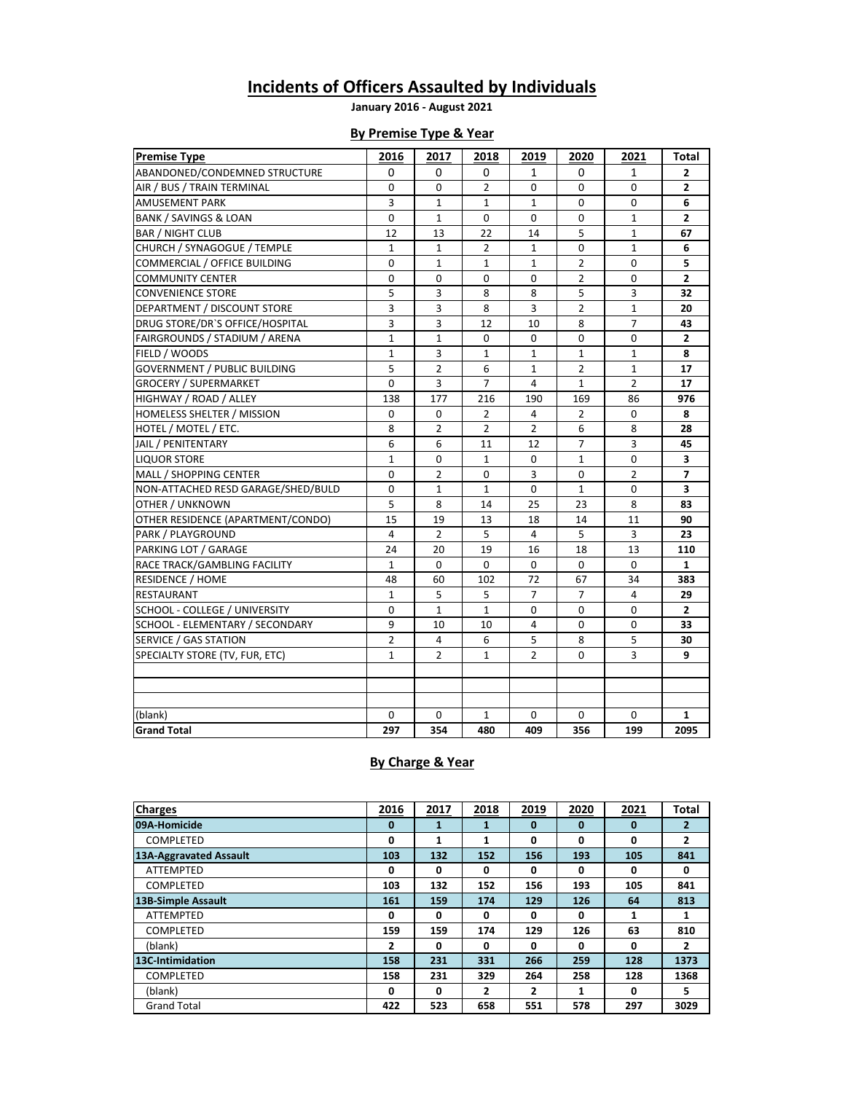# **Incidents of Officers Assaulted by Individuals**

**January 2016 - August 2021**

## **By Premise Type & Year**

| <b>Premise Type</b>                 | 2016         | 2017           | 2018           | 2019           | 2020           | 2021           | Total          |
|-------------------------------------|--------------|----------------|----------------|----------------|----------------|----------------|----------------|
| ABANDONED/CONDEMNED STRUCTURE       | 0            | 0              | 0              | 1              | 0              | 1              | $\mathbf{2}$   |
| AIR / BUS / TRAIN TERMINAL          | 0            | $\Omega$       | $\overline{2}$ | 0              | 0              | $\Omega$       | $\overline{2}$ |
| AMUSEMENT PARK                      | 3            | 1              | 1              | 1              | 0              | 0              | 6              |
| <b>BANK / SAVINGS &amp; LOAN</b>    | 0            | $\mathbf{1}$   | 0              | 0              | 0              | $\mathbf{1}$   | $\mathbf{2}$   |
| <b>BAR / NIGHT CLUB</b>             | 12           | 13             | 22             | 14             | 5              | $\mathbf{1}$   | 67             |
| CHURCH / SYNAGOGUE / TEMPLE         | $\mathbf{1}$ | $\mathbf{1}$   | $\overline{2}$ | $\mathbf{1}$   | 0              | $\mathbf{1}$   | 6              |
| COMMERCIAL / OFFICE BUILDING        | 0            | $\mathbf{1}$   | $\mathbf{1}$   | $\mathbf{1}$   | $\overline{2}$ | $\mathbf 0$    | 5              |
| <b>COMMUNITY CENTER</b>             | $\Omega$     | $\mathbf 0$    | $\Omega$       | 0              | $\overline{2}$ | $\Omega$       | $\overline{2}$ |
| <b>CONVENIENCE STORE</b>            | 5            | 3              | 8              | 8              | 5              | 3              | 32             |
| <b>DEPARTMENT / DISCOUNT STORE</b>  | 3            | 3              | 8              | 3              | $\overline{2}$ | $\mathbf{1}$   | 20             |
| DRUG STORE/DR'S OFFICE/HOSPITAL     | 3            | 3              | 12             | 10             | 8              | $\overline{7}$ | 43             |
| FAIRGROUNDS / STADIUM / ARENA       | $\mathbf 1$  | $\mathbf{1}$   | 0              | 0              | 0              | 0              | $\overline{2}$ |
| FIELD / WOODS                       | 1            | 3              | $\mathbf{1}$   | 1              | 1              | 1              | 8              |
| <b>GOVERNMENT / PUBLIC BUILDING</b> | 5            | $\overline{2}$ | 6              | 1              | $\overline{2}$ | $\mathbf{1}$   | 17             |
| <b>GROCERY / SUPERMARKET</b>        | $\Omega$     | 3              | $\overline{7}$ | 4              | $\mathbf{1}$   | $\overline{2}$ | 17             |
| HIGHWAY / ROAD / ALLEY              | 138          | 177            | 216            | 190            | 169            | 86             | 976            |
| HOMELESS SHELTER / MISSION          | 0            | 0              | $\overline{2}$ | 4              | $\overline{2}$ | $\mathbf 0$    | 8              |
| HOTEL / MOTEL / ETC.                | 8            | $\overline{2}$ | $\overline{2}$ | $\overline{2}$ | 6              | 8              | 28             |
| JAIL / PENITENTARY                  | 6            | 6              | 11             | 12             | $\overline{7}$ | 3              | 45             |
| <b>LIQUOR STORE</b>                 | $\mathbf{1}$ | 0              | $\mathbf{1}$   | 0              | $\mathbf{1}$   | 0              | 3              |
| MALL / SHOPPING CENTER              | 0            | $\overline{2}$ | 0              | 3              | 0              | $\overline{2}$ | 7              |
| NON-ATTACHED RESD GARAGE/SHED/BULD  | 0            | 1              | $\mathbf{1}$   | 0              | 1              | 0              | 3              |
| <b>OTHER / UNKNOWN</b>              | 5            | 8              | 14             | 25             | 23             | 8              | 83             |
| OTHER RESIDENCE (APARTMENT/CONDO)   | 15           | 19             | 13             | 18             | 14             | 11             | 90             |
| PARK / PLAYGROUND                   | 4            | $\overline{2}$ | 5              | 4              | 5              | 3              | 23             |
| PARKING LOT / GARAGE                | 24           | 20             | 19             | 16             | 18             | 13             | 110            |
| <b>RACE TRACK/GAMBLING FACILITY</b> | $\mathbf{1}$ | 0              | $\Omega$       | 0              | 0              | 0              | $\mathbf{1}$   |
| <b>RESIDENCE / HOME</b>             | 48           | 60             | 102            | 72             | 67             | 34             | 383            |
| <b>RESTAURANT</b>                   | $\mathbf{1}$ | 5              | 5              | $\overline{7}$ | $\overline{7}$ | $\overline{4}$ | 29             |
| SCHOOL - COLLEGE / UNIVERSITY       | 0            | $\mathbf{1}$   | $\mathbf{1}$   | 0              | 0              | $\Omega$       | $\overline{2}$ |
| SCHOOL - ELEMENTARY / SECONDARY     | 9            | 10             | 10             | 4              | 0              | 0              | 33             |
| <b>SERVICE / GAS STATION</b>        | 2            | 4              | 6              | 5              | 8              | 5              | 30             |
| SPECIALTY STORE (TV, FUR, ETC)      | $\mathbf{1}$ | $\overline{2}$ | $\mathbf{1}$   | $\overline{2}$ | 0              | 3              | 9              |
|                                     |              |                |                |                |                |                |                |
|                                     |              |                |                |                |                |                |                |
|                                     |              |                |                |                |                |                |                |
| (blank)                             | 0            | 0              | $\mathbf{1}$   | 0              | 0              | 0              | $\mathbf{1}$   |
| <b>Grand Total</b>                  | 297          | 354            | 480            | 409            | 356            | 199            | 2095           |

## **By Charge & Year**

| <b>Charges</b>         | 2016     | 2017 | 2018         | 2019         | 2020     | 2021         | <b>Total</b>   |
|------------------------|----------|------|--------------|--------------|----------|--------------|----------------|
| 09A-Homicide           | $\bf{0}$ | 1    | 1            | $\bf{0}$     | $\bf{0}$ | $\mathbf{0}$ | $\overline{2}$ |
| COMPLETED              | 0        | 1    | 1            | 0            | 0        | 0            | 2              |
| 13A-Aggravated Assault | 103      | 132  | 152          | 156          | 193      | 105          | 841            |
| ATTEMPTED              | 0        | 0    | 0            | 0            | 0        | 0            | 0              |
| COMPLETED              | 103      | 132  | 152          | 156          | 193      | 105          | 841            |
| 13B-Simple Assault     | 161      | 159  | 174          | 129          | 126      | 64           | 813            |
| <b>ATTEMPTED</b>       | 0        | 0    | 0            | 0            | 0        | 1            | 1              |
| COMPLETED              | 159      | 159  | 174          | 129          | 126      | 63           | 810            |
| (blank)                | 2        | 0    | 0            | 0            | 0        | 0            | 2              |
| 13C-Intimidation       | 158      | 231  | 331          | 266          | 259      | 128          | 1373           |
| COMPLETED              | 158      | 231  | 329          | 264          | 258      | 128          | 1368           |
| (blank)                | 0        | 0    | $\mathbf{2}$ | $\mathbf{2}$ | 1        | 0            | 5              |
| <b>Grand Total</b>     | 422      | 523  | 658          | 551          | 578      | 297          | 3029           |